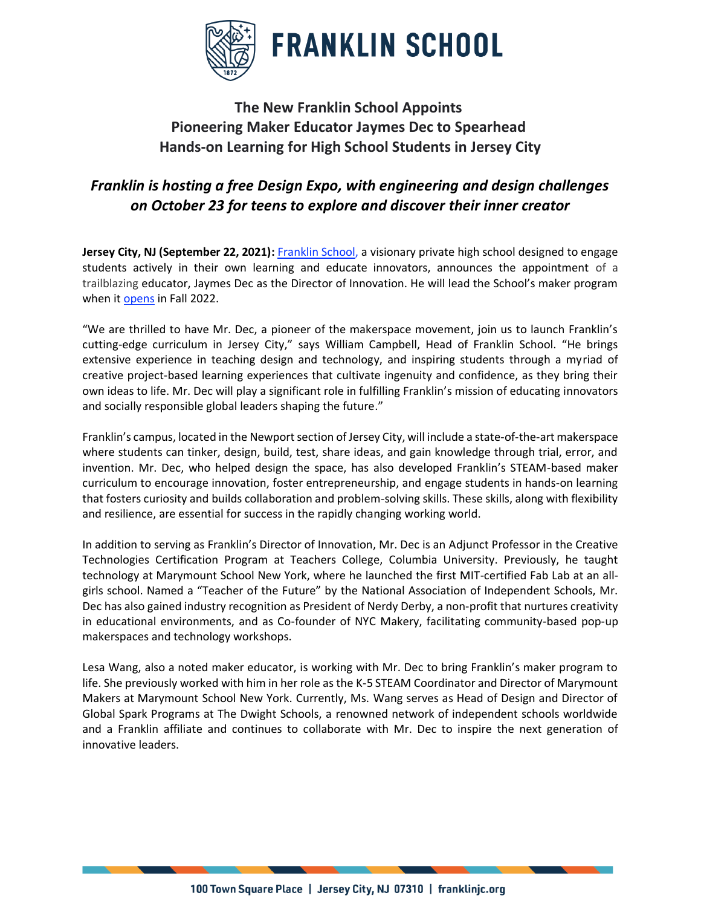

## **The New Franklin School Appoints Pioneering Maker Educator Jaymes Dec to Spearhead Hands-on Learning for High School Students in Jersey City**

## *Franklin is hosting a free Design Expo, with engineering and design challenges on October 23 for teens to explore and discover their inner creator*

**Jersey City, NJ (September 22, 2021):** [Franklin School,](https://www.franklinjc.org/) a visionary private high school designed to engage students actively in their own learning and educate innovators, announces the appointment of a trailblazing educator, Jaymes Dec as the Director of Innovation. He will lead the School's maker program when it [opens](https://www.prnewswire.com/news-releases/trailblazers-in-education-introduce-franklin-school-bringing-a-cutting-edge-model-to-jersey-city-for-high-school-students-301272271.html) in Fall 2022.

"We are thrilled to have Mr. Dec, a pioneer of the makerspace movement, join us to launch Franklin's cutting-edge curriculum in Jersey City," says William Campbell, Head of Franklin School. "He brings extensive experience in teaching design and technology, and inspiring students through a myriad of creative project-based learning experiences that cultivate ingenuity and confidence, as they bring their own ideas to life. Mr. Dec will play a significant role in fulfilling Franklin's mission of educating innovators and socially responsible global leaders shaping the future."

Franklin's campus, located in the Newport section of Jersey City, will include a state-of-the-art makerspace where students can tinker, design, build, test, share ideas, and gain knowledge through trial, error, and invention. Mr. Dec, who helped design the space, has also developed Franklin's STEAM-based maker curriculum to encourage innovation, foster entrepreneurship, and engage students in hands-on learning that fosters curiosity and builds collaboration and problem-solving skills. These skills, along with flexibility and resilience, are essential for success in the rapidly changing working world.

In addition to serving as Franklin's Director of Innovation, Mr. Dec is an Adjunct Professor in the Creative Technologies Certification Program at Teachers College, Columbia University. Previously, he taught technology at Marymount School New York, where he launched the first MIT-certified Fab Lab at an allgirls school. Named a "Teacher of the Future" by the National Association of Independent Schools, Mr. Dec has also gained industry recognition as President of Nerdy Derby, a non-profit that nurtures creativity in educational environments, and as Co-founder of NYC Makery, facilitating community-based pop-up makerspaces and technology workshops.

Lesa Wang, also a noted maker educator, is working with Mr. Dec to bring Franklin's maker program to life. She previously worked with him in her role as the K-5 STEAM Coordinator and Director of Marymount Makers at Marymount School New York. Currently, Ms. Wang serves as Head of Design and Director of Global Spark Programs at The Dwight Schools, a renowned network of independent schools worldwide and a Franklin affiliate and continues to collaborate with Mr. Dec to inspire the next generation of innovative leaders.